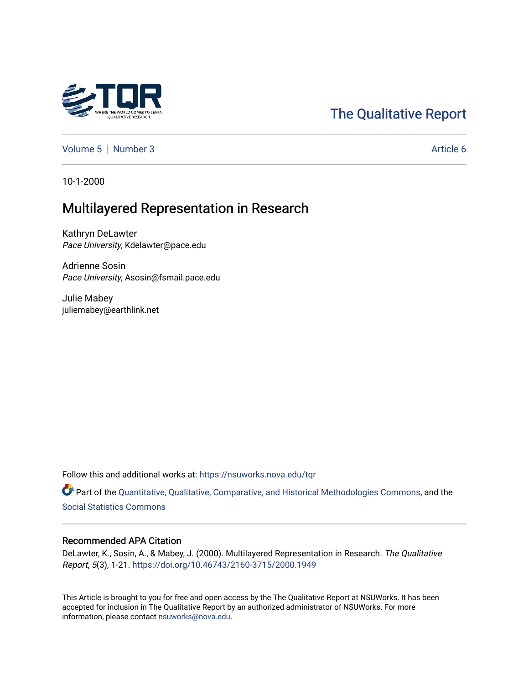# [The Qualitative Report](https://nsuworks.nova.edu/tqr)

[Volume 5](https://nsuworks.nova.edu/tqr/vol5) | [Number 3](https://nsuworks.nova.edu/tqr/vol5/iss3) Article 6

10-1-2000

# Multilayered Representation in Research

Kathryn DeLawter Pace University, Kdelawter@pace.edu

Adrienne Sosin Pace University, Asosin@fsmail.pace.edu

Julie Mabey juliemabey@earthlink.net

Follow this and additional works at: [https://nsuworks.nova.edu/tqr](https://nsuworks.nova.edu/tqr?utm_source=nsuworks.nova.edu%2Ftqr%2Fvol5%2Fiss3%2F6&utm_medium=PDF&utm_campaign=PDFCoverPages) 

Part of the [Quantitative, Qualitative, Comparative, and Historical Methodologies Commons,](http://network.bepress.com/hgg/discipline/423?utm_source=nsuworks.nova.edu%2Ftqr%2Fvol5%2Fiss3%2F6&utm_medium=PDF&utm_campaign=PDFCoverPages) and the [Social Statistics Commons](http://network.bepress.com/hgg/discipline/1275?utm_source=nsuworks.nova.edu%2Ftqr%2Fvol5%2Fiss3%2F6&utm_medium=PDF&utm_campaign=PDFCoverPages) 

#### Recommended APA Citation

DeLawter, K., Sosin, A., & Mabey, J. (2000). Multilayered Representation in Research. The Qualitative Report, 5(3), 1-21.<https://doi.org/10.46743/2160-3715/2000.1949>

This Article is brought to you for free and open access by the The Qualitative Report at NSUWorks. It has been accepted for inclusion in The Qualitative Report by an authorized administrator of NSUWorks. For more information, please contact [nsuworks@nova.edu.](mailto:nsuworks@nova.edu)

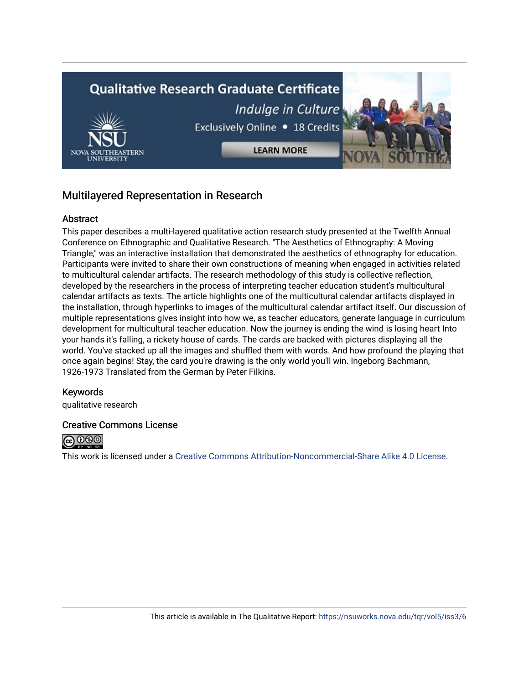# **Qualitative Research Graduate Certificate** Indulge in Culture Exclusively Online . 18 Credits **LEARN MORE**

# Multilayered Representation in Research

#### **Abstract**

This paper describes a multi-layered qualitative action research study presented at the Twelfth Annual Conference on Ethnographic and Qualitative Research. "The Aesthetics of Ethnography: A Moving Triangle," was an interactive installation that demonstrated the aesthetics of ethnography for education. Participants were invited to share their own constructions of meaning when engaged in activities related to multicultural calendar artifacts. The research methodology of this study is collective reflection, developed by the researchers in the process of interpreting teacher education student's multicultural calendar artifacts as texts. The article highlights one of the multicultural calendar artifacts displayed in the installation, through hyperlinks to images of the multicultural calendar artifact itself. Our discussion of multiple representations gives insight into how we, as teacher educators, generate language in curriculum development for multicultural teacher education. Now the journey is ending the wind is losing heart Into your hands it's falling, a rickety house of cards. The cards are backed with pictures displaying all the world. You've stacked up all the images and shuffled them with words. And how profound the playing that once again begins! Stay, the card you're drawing is the only world you'll win. Ingeborg Bachmann, 1926-1973 Translated from the German by Peter Filkins.

#### Keywords

qualitative research

#### Creative Commons License



This work is licensed under a [Creative Commons Attribution-Noncommercial-Share Alike 4.0 License](https://creativecommons.org/licenses/by-nc-sa/4.0/).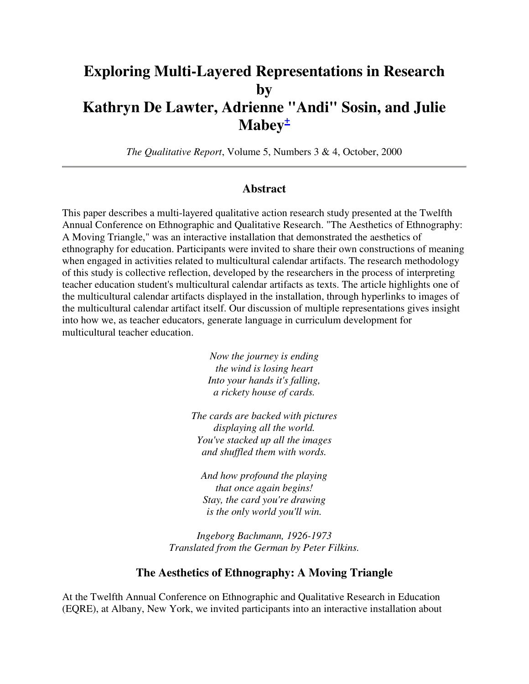# **Exploring Multi-Layered Representations in Research by Kathryn De Lawter, Adrienne "Andi" Sosin, and Julie Mabey<sup>+</sup>**

*The Qualitative Report*, Volume 5, Numbers 3 & 4, October, 2000

#### **Abstract**

This paper describes a multi-layered qualitative action research study presented at the Twelfth Annual Conference on Ethnographic and Qualitative Research. "The Aesthetics of Ethnography: A Moving Triangle," was an interactive installation that demonstrated the aesthetics of ethnography for education. Participants were invited to share their own constructions of meaning when engaged in activities related to multicultural calendar artifacts. The research methodology of this study is collective reflection, developed by the researchers in the process of interpreting teacher education student's multicultural calendar artifacts as texts. The article highlights one of the multicultural calendar artifacts displayed in the installation, through hyperlinks to images of the multicultural calendar artifact itself. Our discussion of multiple representations gives insight into how we, as teacher educators, generate language in curriculum development for multicultural teacher education.

> *Now the journey is ending the wind is losing heart Into your hands it's falling, a rickety house of cards.*

*The cards are backed with pictures displaying all the world. You've stacked up all the images and shuffled them with words.* 

*And how profound the playing that once again begins! Stay, the card you're drawing is the only world you'll win.* 

*Ingeborg Bachmann, 1926-1973 Translated from the German by Peter Filkins.*

#### **The Aesthetics of Ethnography: A Moving Triangle**

At the Twelfth Annual Conference on Ethnographic and Qualitative Research in Education (EQRE), at Albany, New York, we invited participants into an interactive installation about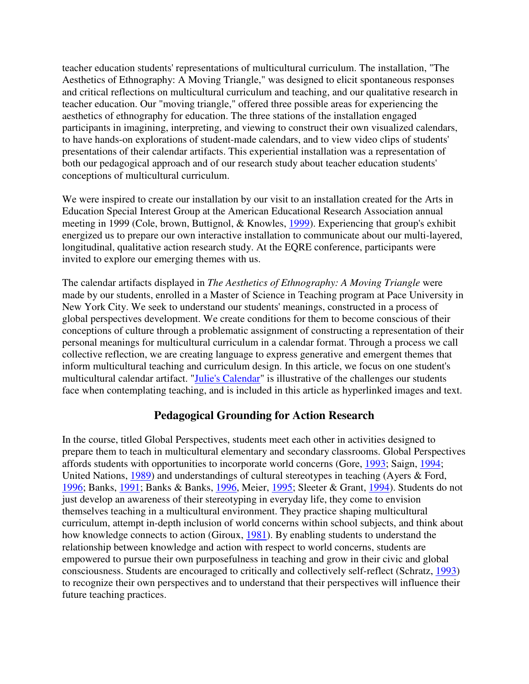teacher education students' representations of multicultural curriculum. The installation, "The Aesthetics of Ethnography: A Moving Triangle," was designed to elicit spontaneous responses and critical reflections on multicultural curriculum and teaching, and our qualitative research in teacher education. Our "moving triangle," offered three possible areas for experiencing the aesthetics of ethnography for education. The three stations of the installation engaged participants in imagining, interpreting, and viewing to construct their own visualized calendars, to have hands-on explorations of student-made calendars, and to view video clips of students' presentations of their calendar artifacts. This experiential installation was a representation of both our pedagogical approach and of our research study about teacher education students' conceptions of multicultural curriculum.

We were inspired to create our installation by our visit to an installation created for the Arts in Education Special Interest Group at the American Educational Research Association annual meeting in 1999 (Cole, brown, Buttignol, & Knowles, 1999). Experiencing that group's exhibit energized us to prepare our own interactive installation to communicate about our multi-layered, longitudinal, qualitative action research study. At the EQRE conference, participants were invited to explore our emerging themes with us.

The calendar artifacts displayed in *The Aesthetics of Ethnography: A Moving Triangle* were made by our students, enrolled in a Master of Science in Teaching program at Pace University in New York City. We seek to understand our students' meanings, constructed in a process of global perspectives development. We create conditions for them to become conscious of their conceptions of culture through a problematic assignment of constructing a representation of their personal meanings for multicultural curriculum in a calendar format. Through a process we call collective reflection, we are creating language to express generative and emergent themes that inform multicultural teaching and curriculum design. In this article, we focus on one student's multicultural calendar artifact. "Julie's Calendar" is illustrative of the challenges our students face when contemplating teaching, and is included in this article as hyperlinked images and text.

#### **Pedagogical Grounding for Action Research**

In the course, titled Global Perspectives, students meet each other in activities designed to prepare them to teach in multicultural elementary and secondary classrooms. Global Perspectives affords students with opportunities to incorporate world concerns (Gore, 1993; Saign, 1994; United Nations, 1989) and understandings of cultural stereotypes in teaching (Ayers & Ford, 1996; Banks, 1991; Banks & Banks, 1996, Meier, 1995; Sleeter & Grant, 1994). Students do not just develop an awareness of their stereotyping in everyday life, they come to envision themselves teaching in a multicultural environment. They practice shaping multicultural curriculum, attempt in-depth inclusion of world concerns within school subjects, and think about how knowledge connects to action (Giroux, 1981). By enabling students to understand the relationship between knowledge and action with respect to world concerns, students are empowered to pursue their own purposefulness in teaching and grow in their civic and global consciousness. Students are encouraged to critically and collectively self-reflect (Schratz, 1993) to recognize their own perspectives and to understand that their perspectives will influence their future teaching practices.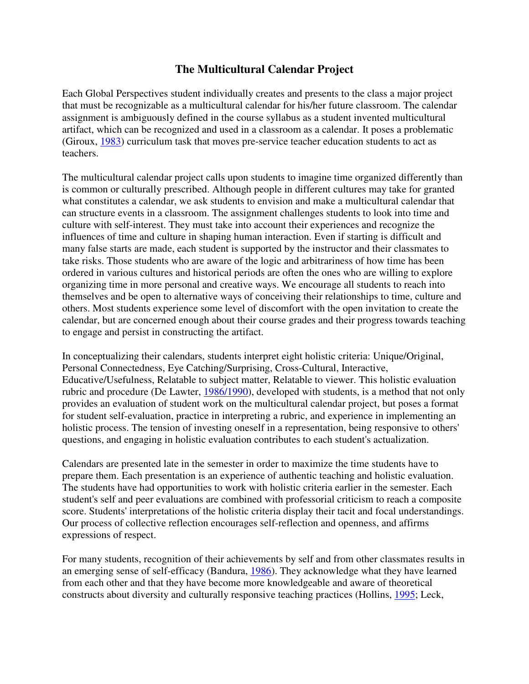## **The Multicultural Calendar Project**

Each Global Perspectives student individually creates and presents to the class a major project that must be recognizable as a multicultural calendar for his/her future classroom. The calendar assignment is ambiguously defined in the course syllabus as a student invented multicultural artifact, which can be recognized and used in a classroom as a calendar. It poses a problematic (Giroux, 1983) curriculum task that moves pre-service teacher education students to act as teachers.

The multicultural calendar project calls upon students to imagine time organized differently than is common or culturally prescribed. Although people in different cultures may take for granted what constitutes a calendar, we ask students to envision and make a multicultural calendar that can structure events in a classroom. The assignment challenges students to look into time and culture with self-interest. They must take into account their experiences and recognize the influences of time and culture in shaping human interaction. Even if starting is difficult and many false starts are made, each student is supported by the instructor and their classmates to take risks. Those students who are aware of the logic and arbitrariness of how time has been ordered in various cultures and historical periods are often the ones who are willing to explore organizing time in more personal and creative ways. We encourage all students to reach into themselves and be open to alternative ways of conceiving their relationships to time, culture and others. Most students experience some level of discomfort with the open invitation to create the calendar, but are concerned enough about their course grades and their progress towards teaching to engage and persist in constructing the artifact.

In conceptualizing their calendars, students interpret eight holistic criteria: Unique/Original, Personal Connectedness, Eye Catching/Surprising, Cross-Cultural, Interactive, Educative/Usefulness, Relatable to subject matter, Relatable to viewer. This holistic evaluation rubric and procedure (De Lawter, 1986/1990), developed with students, is a method that not only provides an evaluation of student work on the multicultural calendar project, but poses a format for student self-evaluation, practice in interpreting a rubric, and experience in implementing an holistic process. The tension of investing oneself in a representation, being responsive to others' questions, and engaging in holistic evaluation contributes to each student's actualization.

Calendars are presented late in the semester in order to maximize the time students have to prepare them. Each presentation is an experience of authentic teaching and holistic evaluation. The students have had opportunities to work with holistic criteria earlier in the semester. Each student's self and peer evaluations are combined with professorial criticism to reach a composite score. Students' interpretations of the holistic criteria display their tacit and focal understandings. Our process of collective reflection encourages self-reflection and openness, and affirms expressions of respect.

For many students, recognition of their achievements by self and from other classmates results in an emerging sense of self-efficacy (Bandura, 1986). They acknowledge what they have learned from each other and that they have become more knowledgeable and aware of theoretical constructs about diversity and culturally responsive teaching practices (Hollins, 1995; Leck,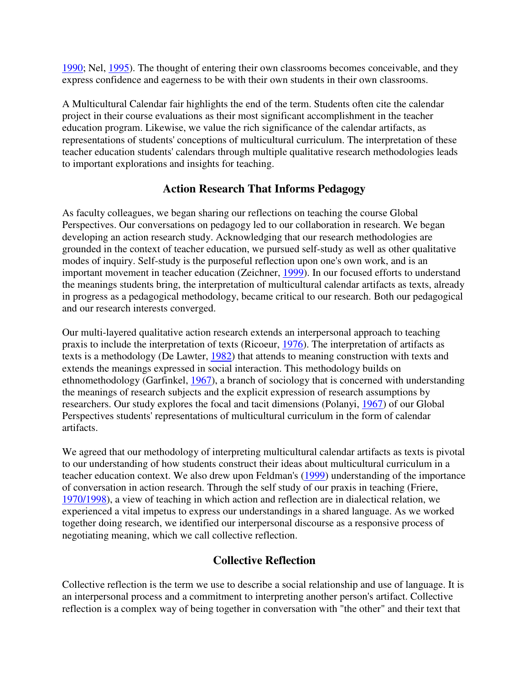1990; Nel, 1995). The thought of entering their own classrooms becomes conceivable, and they express confidence and eagerness to be with their own students in their own classrooms.

A Multicultural Calendar fair highlights the end of the term. Students often cite the calendar project in their course evaluations as their most significant accomplishment in the teacher education program. Likewise, we value the rich significance of the calendar artifacts, as representations of students' conceptions of multicultural curriculum. The interpretation of these teacher education students' calendars through multiple qualitative research methodologies leads to important explorations and insights for teaching.

### **Action Research That Informs Pedagogy**

As faculty colleagues, we began sharing our reflections on teaching the course Global Perspectives. Our conversations on pedagogy led to our collaboration in research. We began developing an action research study. Acknowledging that our research methodologies are grounded in the context of teacher education, we pursued self-study as well as other qualitative modes of inquiry. Self-study is the purposeful reflection upon one's own work, and is an important movement in teacher education (Zeichner, 1999). In our focused efforts to understand the meanings students bring, the interpretation of multicultural calendar artifacts as texts, already in progress as a pedagogical methodology, became critical to our research. Both our pedagogical and our research interests converged.

Our multi-layered qualitative action research extends an interpersonal approach to teaching praxis to include the interpretation of texts (Ricoeur, 1976). The interpretation of artifacts as texts is a methodology (De Lawter, 1982) that attends to meaning construction with texts and extends the meanings expressed in social interaction. This methodology builds on ethnomethodology (Garfinkel, 1967), a branch of sociology that is concerned with understanding the meanings of research subjects and the explicit expression of research assumptions by researchers. Our study explores the focal and tacit dimensions (Polanyi, 1967) of our Global Perspectives students' representations of multicultural curriculum in the form of calendar artifacts.

We agreed that our methodology of interpreting multicultural calendar artifacts as texts is pivotal to our understanding of how students construct their ideas about multicultural curriculum in a teacher education context. We also drew upon Feldman's (1999) understanding of the importance of conversation in action research. Through the self study of our praxis in teaching (Friere, 1970/1998), a view of teaching in which action and reflection are in dialectical relation, we experienced a vital impetus to express our understandings in a shared language. As we worked together doing research, we identified our interpersonal discourse as a responsive process of negotiating meaning, which we call collective reflection.

## **Collective Reflection**

Collective reflection is the term we use to describe a social relationship and use of language. It is an interpersonal process and a commitment to interpreting another person's artifact. Collective reflection is a complex way of being together in conversation with "the other" and their text that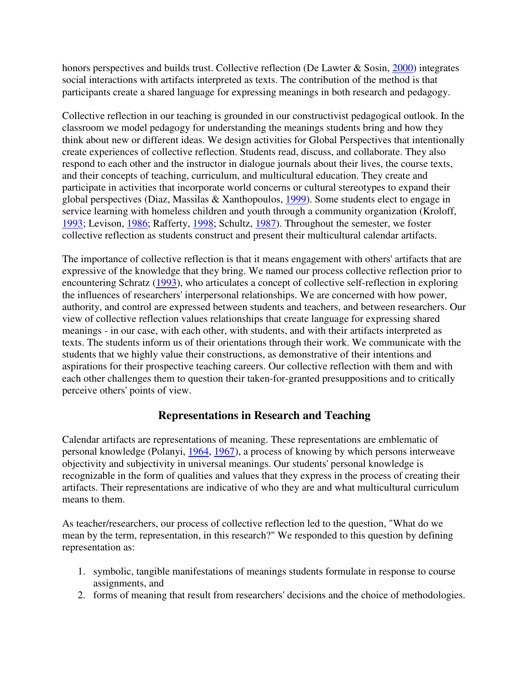honors perspectives and builds trust. Collective reflection (De Lawter & Sosin, 2000) integrates social interactions with artifacts interpreted as texts. The contribution of the method is that participants create a shared language for expressing meanings in both research and pedagogy.

Collective reflection in our teaching is grounded in our constructivist pedagogical outlook. In the classroom we model pedagogy for understanding the meanings students bring and how they think about new or different ideas. We design activities for Global Perspectives that intentionally create experiences of collective reflection. Students read, discuss, and collaborate. They also respond to each other and the instructor in dialogue journals about their lives, the course texts, and their concepts of teaching, curriculum, and multicultural education. They create and participate in activities that incorporate world concerns or cultural stereotypes to expand their global perspectives (Diaz, Massilas & Xanthopoulos, 1999). Some students elect to engage in service learning with homeless children and youth through a community organization (Kroloff, 1993; Levison, 1986; Rafferty, 1998; Schultz, 1987). Throughout the semester, we foster collective reflection as students construct and present their multicultural calendar artifacts.

The importance of collective reflection is that it means engagement with others' artifacts that are expressive of the knowledge that they bring. We named our process collective reflection prior to encountering Schratz (1993), who articulates a concept of collective self-reflection in exploring the influences of researchers' interpersonal relationships. We are concerned with how power, authority, and control are expressed between students and teachers, and between researchers. Our view of collective reflection values relationships that create language for expressing shared meanings - in our case, with each other, with students, and with their artifacts interpreted as texts. The students inform us of their orientations through their work. We communicate with the students that we highly value their constructions, as demonstrative of their intentions and aspirations for their prospective teaching careers. Our collective reflection with them and with each other challenges them to question their taken-for-granted presuppositions and to critically perceive others' points of view.

### **Representations in Research and Teaching**

Calendar artifacts are representations of meaning. These representations are emblematic of personal knowledge (Polanyi, 1964, 1967), a process of knowing by which persons interweave objectivity and subjectivity in universal meanings. Our students' personal knowledge is recognizable in the form of qualities and values that they express in the process of creating their artifacts. Their representations are indicative of who they are and what multicultural curriculum means to them.

As teacher/researchers, our process of collective reflection led to the question, "What do we mean by the term, representation, in this research?" We responded to this question by defining representation as:

- 1. symbolic, tangible manifestations of meanings students formulate in response to course assignments, and
- 2. forms of meaning that result from researchers' decisions and the choice of methodologies.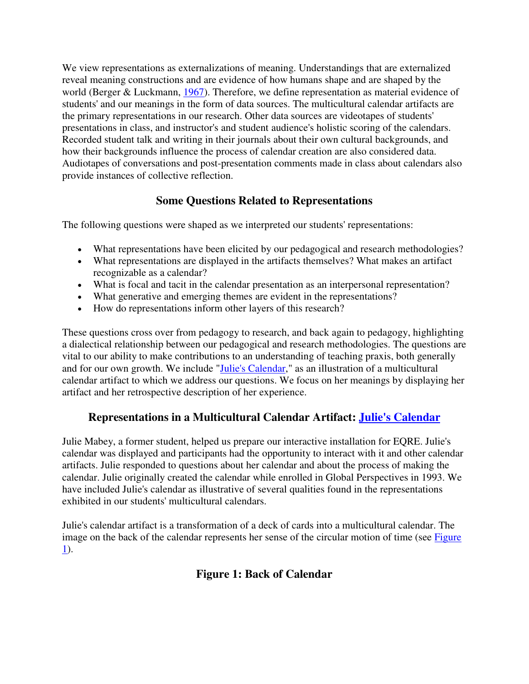We view representations as externalizations of meaning. Understandings that are externalized reveal meaning constructions and are evidence of how humans shape and are shaped by the world (Berger & Luckmann, 1967). Therefore, we define representation as material evidence of students' and our meanings in the form of data sources. The multicultural calendar artifacts are the primary representations in our research. Other data sources are videotapes of students' presentations in class, and instructor's and student audience's holistic scoring of the calendars. Recorded student talk and writing in their journals about their own cultural backgrounds, and how their backgrounds influence the process of calendar creation are also considered data. Audiotapes of conversations and post-presentation comments made in class about calendars also provide instances of collective reflection.

# **Some Questions Related to Representations**

The following questions were shaped as we interpreted our students' representations:

- What representations have been elicited by our pedagogical and research methodologies?
- What representations are displayed in the artifacts themselves? What makes an artifact recognizable as a calendar?
- What is focal and tacit in the calendar presentation as an interpersonal representation?
- What generative and emerging themes are evident in the representations?
- How do representations inform other layers of this research?

These questions cross over from pedagogy to research, and back again to pedagogy, highlighting a dialectical relationship between our pedagogical and research methodologies. The questions are vital to our ability to make contributions to an understanding of teaching praxis, both generally and for our own growth. We include "Julie's Calendar," as an illustration of a multicultural calendar artifact to which we address our questions. We focus on her meanings by displaying her artifact and her retrospective description of her experience.

# **Representations in a Multicultural Calendar Artifact: Julie's Calendar**

Julie Mabey, a former student, helped us prepare our interactive installation for EQRE. Julie's calendar was displayed and participants had the opportunity to interact with it and other calendar artifacts. Julie responded to questions about her calendar and about the process of making the calendar. Julie originally created the calendar while enrolled in Global Perspectives in 1993. We have included Julie's calendar as illustrative of several qualities found in the representations exhibited in our students' multicultural calendars.

Julie's calendar artifact is a transformation of a deck of cards into a multicultural calendar. The image on the back of the calendar represents her sense of the circular motion of time (see Figure 1).

# **Figure 1: Back of Calendar**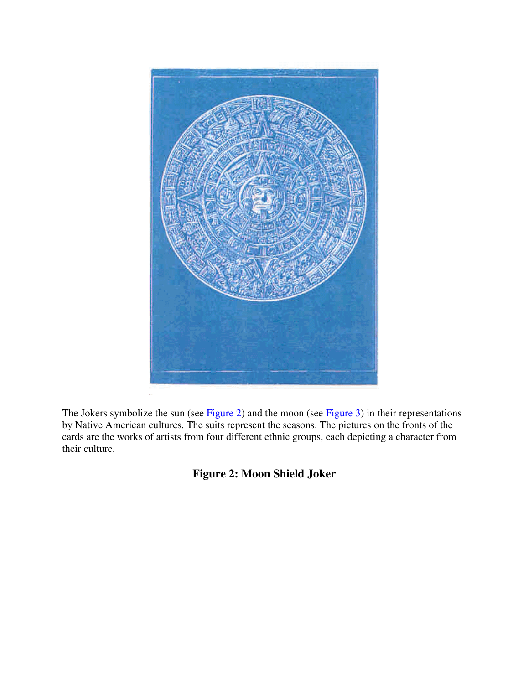

The Jokers symbolize the sun (see Figure 2) and the moon (see Figure 3) in their representations by Native American cultures. The suits represent the seasons. The pictures on the fronts of the cards are the works of artists from four different ethnic groups, each depicting a character from their culture.

**Figure 2: Moon Shield Joker**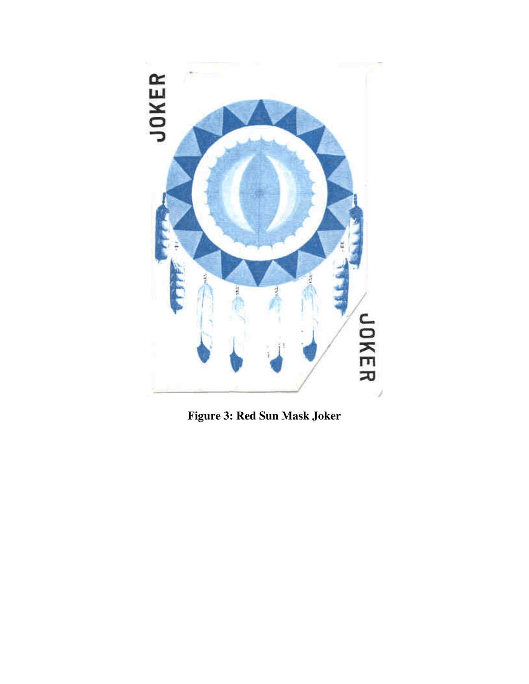

**Figure 3: Red Sun Mask Joker**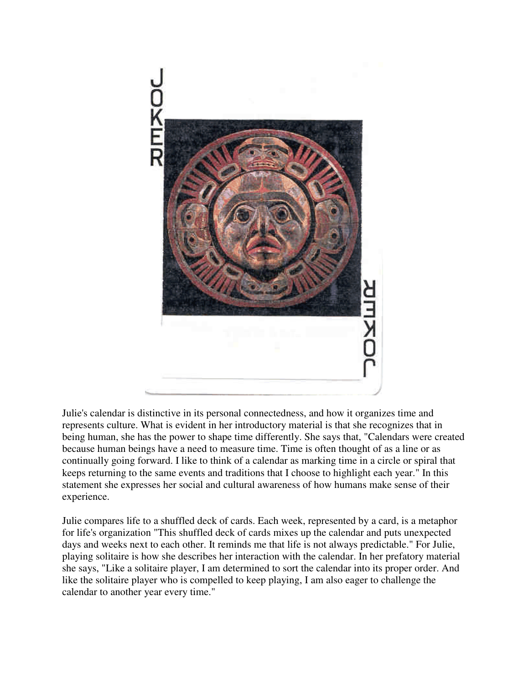

Julie's calendar is distinctive in its personal connectedness, and how it organizes time and represents culture. What is evident in her introductory material is that she recognizes that in being human, she has the power to shape time differently. She says that, "Calendars were created because human beings have a need to measure time. Time is often thought of as a line or as continually going forward. I like to think of a calendar as marking time in a circle or spiral that keeps returning to the same events and traditions that I choose to highlight each year." In this statement she expresses her social and cultural awareness of how humans make sense of their experience.

Julie compares life to a shuffled deck of cards. Each week, represented by a card, is a metaphor for life's organization "This shuffled deck of cards mixes up the calendar and puts unexpected days and weeks next to each other. It reminds me that life is not always predictable." For Julie, playing solitaire is how she describes her interaction with the calendar. In her prefatory material she says, "Like a solitaire player, I am determined to sort the calendar into its proper order. And like the solitaire player who is compelled to keep playing, I am also eager to challenge the calendar to another year every time."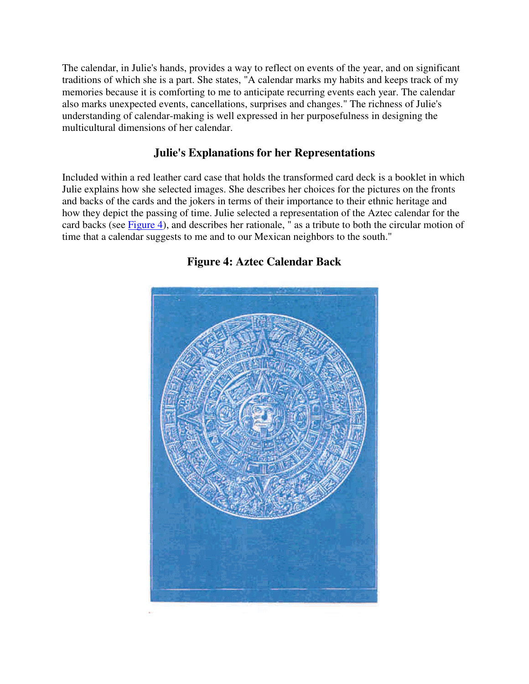The calendar, in Julie's hands, provides a way to reflect on events of the year, and on significant traditions of which she is a part. She states, "A calendar marks my habits and keeps track of my memories because it is comforting to me to anticipate recurring events each year. The calendar also marks unexpected events, cancellations, surprises and changes." The richness of Julie's understanding of calendar-making is well expressed in her purposefulness in designing the multicultural dimensions of her calendar.

### **Julie's Explanations for her Representations**

Included within a red leather card case that holds the transformed card deck is a booklet in which Julie explains how she selected images. She describes her choices for the pictures on the fronts and backs of the cards and the jokers in terms of their importance to their ethnic heritage and how they depict the passing of time. Julie selected a representation of the Aztec calendar for the card backs (see Figure 4), and describes her rationale, " as a tribute to both the circular motion of time that a calendar suggests to me and to our Mexican neighbors to the south."



### **Figure 4: Aztec Calendar Back**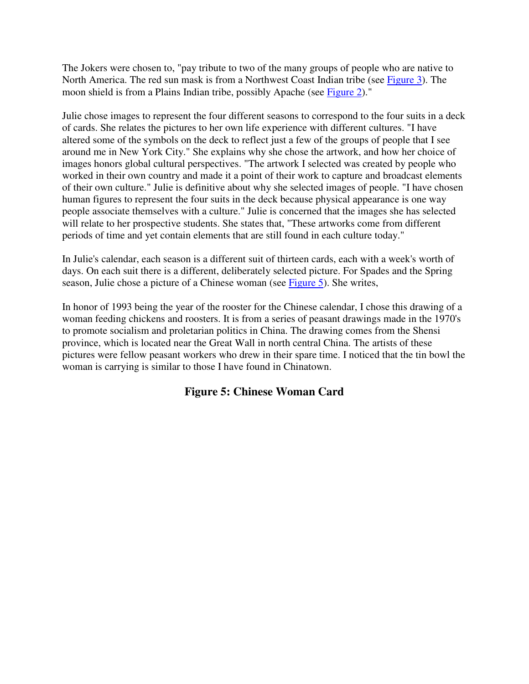The Jokers were chosen to, "pay tribute to two of the many groups of people who are native to North America. The red sun mask is from a Northwest Coast Indian tribe (see Figure 3). The moon shield is from a Plains Indian tribe, possibly Apache (see Figure 2)."

Julie chose images to represent the four different seasons to correspond to the four suits in a deck of cards. She relates the pictures to her own life experience with different cultures. "I have altered some of the symbols on the deck to reflect just a few of the groups of people that I see around me in New York City." She explains why she chose the artwork, and how her choice of images honors global cultural perspectives. "The artwork I selected was created by people who worked in their own country and made it a point of their work to capture and broadcast elements of their own culture." Julie is definitive about why she selected images of people. "I have chosen human figures to represent the four suits in the deck because physical appearance is one way people associate themselves with a culture." Julie is concerned that the images she has selected will relate to her prospective students. She states that, "These artworks come from different periods of time and yet contain elements that are still found in each culture today."

In Julie's calendar, each season is a different suit of thirteen cards, each with a week's worth of days. On each suit there is a different, deliberately selected picture. For Spades and the Spring season, Julie chose a picture of a Chinese woman (see Figure 5). She writes,

In honor of 1993 being the year of the rooster for the Chinese calendar, I chose this drawing of a woman feeding chickens and roosters. It is from a series of peasant drawings made in the 1970's to promote socialism and proletarian politics in China. The drawing comes from the Shensi province, which is located near the Great Wall in north central China. The artists of these pictures were fellow peasant workers who drew in their spare time. I noticed that the tin bowl the woman is carrying is similar to those I have found in Chinatown.

### **Figure 5: Chinese Woman Card**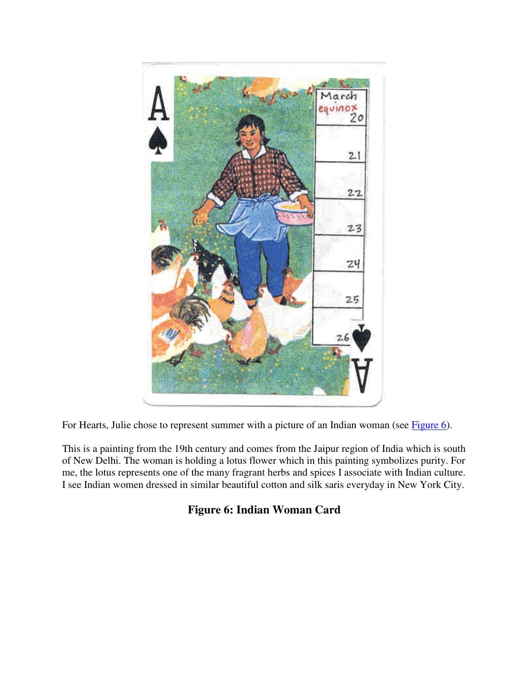

For Hearts, Julie chose to represent summer with a picture of an Indian woman (see Figure 6).

This is a painting from the 19th century and comes from the Jaipur region of India which is south of New Delhi. The woman is holding a lotus flower which in this painting symbolizes purity. For me, the lotus represents one of the many fragrant herbs and spices I associate with Indian culture. I see Indian women dressed in similar beautiful cotton and silk saris everyday in New York City.

# **Figure 6: Indian Woman Card**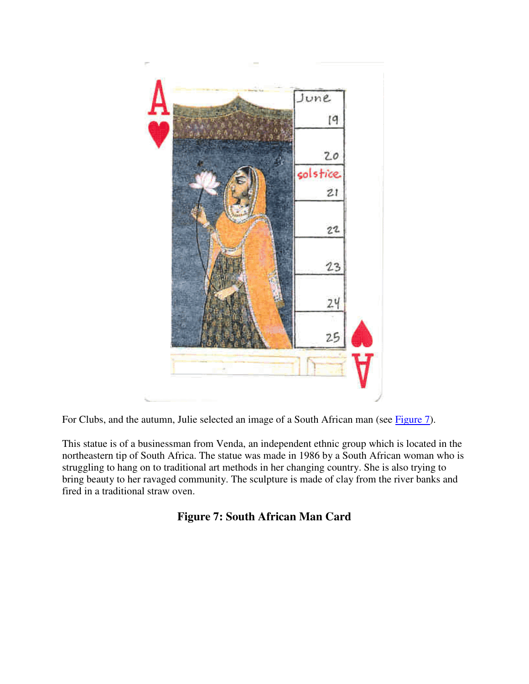

For Clubs, and the autumn, Julie selected an image of a South African man (see Figure 7).

This statue is of a businessman from Venda, an independent ethnic group which is located in the northeastern tip of South Africa. The statue was made in 1986 by a South African woman who is struggling to hang on to traditional art methods in her changing country. She is also trying to bring beauty to her ravaged community. The sculpture is made of clay from the river banks and fired in a traditional straw oven.

## **Figure 7: South African Man Card**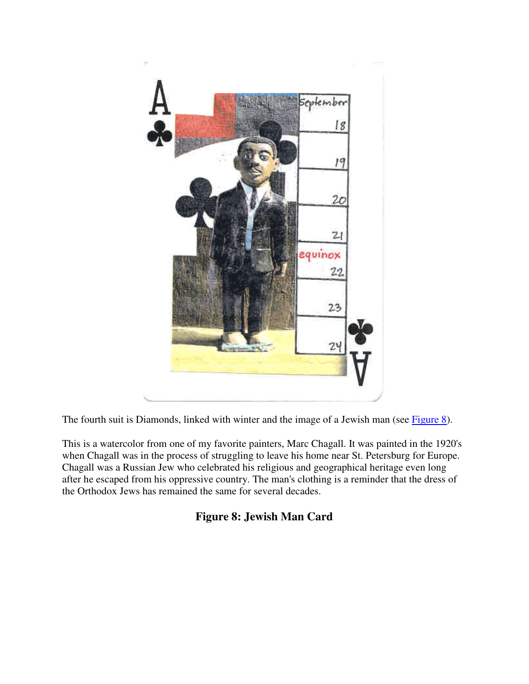

The fourth suit is Diamonds, linked with winter and the image of a Jewish man (see Figure 8).

This is a watercolor from one of my favorite painters, Marc Chagall. It was painted in the 1920's when Chagall was in the process of struggling to leave his home near St. Petersburg for Europe. Chagall was a Russian Jew who celebrated his religious and geographical heritage even long after he escaped from his oppressive country. The man's clothing is a reminder that the dress of the Orthodox Jews has remained the same for several decades.

## **Figure 8: Jewish Man Card**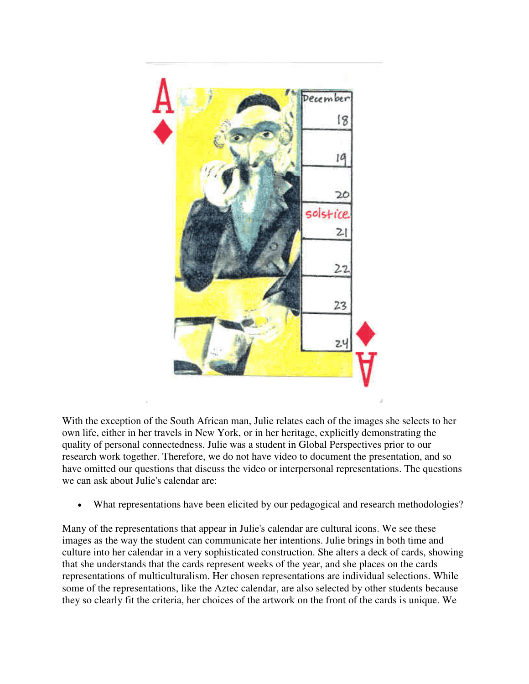

With the exception of the South African man, Julie relates each of the images she selects to her own life, either in her travels in New York, or in her heritage, explicitly demonstrating the quality of personal connectedness. Julie was a student in Global Perspectives prior to our research work together. Therefore, we do not have video to document the presentation, and so have omitted our questions that discuss the video or interpersonal representations. The questions we can ask about Julie's calendar are:

What representations have been elicited by our pedagogical and research methodologies?

Many of the representations that appear in Julie's calendar are cultural icons. We see these images as the way the student can communicate her intentions. Julie brings in both time and culture into her calendar in a very sophisticated construction. She alters a deck of cards, showing that she understands that the cards represent weeks of the year, and she places on the cards representations of multiculturalism. Her chosen representations are individual selections. While some of the representations, like the Aztec calendar, are also selected by other students because they so clearly fit the criteria, her choices of the artwork on the front of the cards is unique. We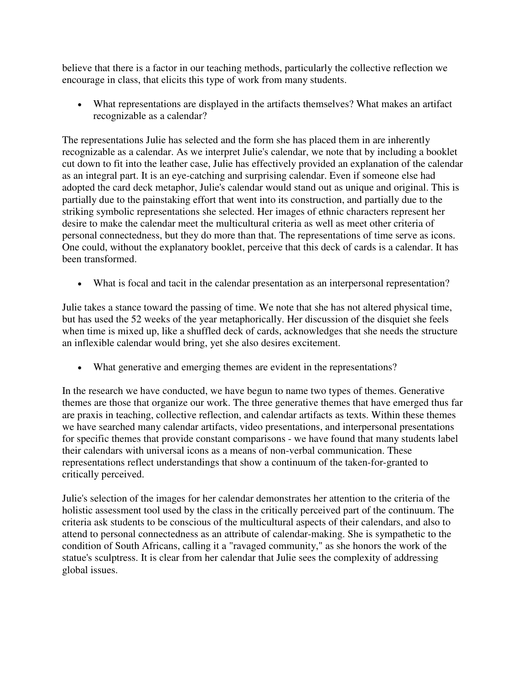believe that there is a factor in our teaching methods, particularly the collective reflection we encourage in class, that elicits this type of work from many students.

• What representations are displayed in the artifacts themselves? What makes an artifact recognizable as a calendar?

The representations Julie has selected and the form she has placed them in are inherently recognizable as a calendar. As we interpret Julie's calendar, we note that by including a booklet cut down to fit into the leather case, Julie has effectively provided an explanation of the calendar as an integral part. It is an eye-catching and surprising calendar. Even if someone else had adopted the card deck metaphor, Julie's calendar would stand out as unique and original. This is partially due to the painstaking effort that went into its construction, and partially due to the striking symbolic representations she selected. Her images of ethnic characters represent her desire to make the calendar meet the multicultural criteria as well as meet other criteria of personal connectedness, but they do more than that. The representations of time serve as icons. One could, without the explanatory booklet, perceive that this deck of cards is a calendar. It has been transformed.

• What is focal and tacit in the calendar presentation as an interpersonal representation?

Julie takes a stance toward the passing of time. We note that she has not altered physical time, but has used the 52 weeks of the year metaphorically. Her discussion of the disquiet she feels when time is mixed up, like a shuffled deck of cards, acknowledges that she needs the structure an inflexible calendar would bring, yet she also desires excitement.

• What generative and emerging themes are evident in the representations?

In the research we have conducted, we have begun to name two types of themes. Generative themes are those that organize our work. The three generative themes that have emerged thus far are praxis in teaching, collective reflection, and calendar artifacts as texts. Within these themes we have searched many calendar artifacts, video presentations, and interpersonal presentations for specific themes that provide constant comparisons - we have found that many students label their calendars with universal icons as a means of non-verbal communication. These representations reflect understandings that show a continuum of the taken-for-granted to critically perceived.

Julie's selection of the images for her calendar demonstrates her attention to the criteria of the holistic assessment tool used by the class in the critically perceived part of the continuum. The criteria ask students to be conscious of the multicultural aspects of their calendars, and also to attend to personal connectedness as an attribute of calendar-making. She is sympathetic to the condition of South Africans, calling it a "ravaged community," as she honors the work of the statue's sculptress. It is clear from her calendar that Julie sees the complexity of addressing global issues.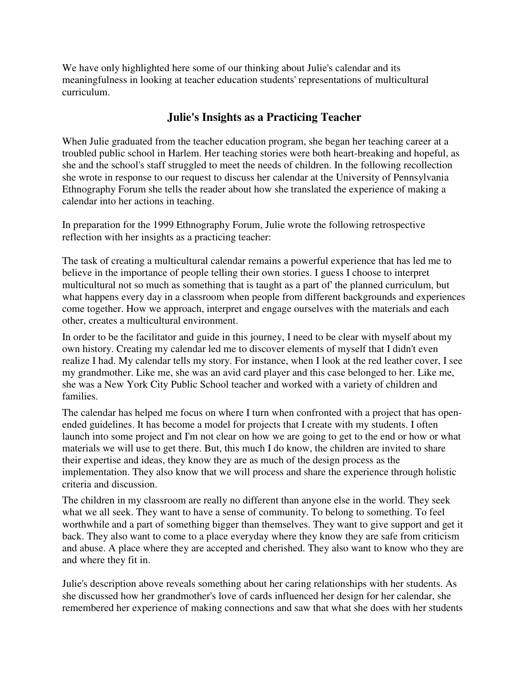We have only highlighted here some of our thinking about Julie's calendar and its meaningfulness in looking at teacher education students' representations of multicultural curriculum.

## **Julie's Insights as a Practicing Teacher**

When Julie graduated from the teacher education program, she began her teaching career at a troubled public school in Harlem. Her teaching stories were both heart-breaking and hopeful, as she and the school's staff struggled to meet the needs of children. In the following recollection she wrote in response to our request to discuss her calendar at the University of Pennsylvania Ethnography Forum she tells the reader about how she translated the experience of making a calendar into her actions in teaching.

In preparation for the 1999 Ethnography Forum, Julie wrote the following retrospective reflection with her insights as a practicing teacher:

The task of creating a multicultural calendar remains a powerful experience that has led me to believe in the importance of people telling their own stories. I guess I choose to interpret multicultural not so much as something that is taught as a part of' the planned curriculum, but what happens every day in a classroom when people from different backgrounds and experiences come together. How we approach, interpret and engage ourselves with the materials and each other, creates a multicultural environment.

In order to be the facilitator and guide in this journey, I need to be clear with myself about my own history. Creating my calendar led me to discover elements of myself that I didn't even realize I had. My calendar tells my story. For instance, when I look at the red leather cover, I see my grandmother. Like me, she was an avid card player and this case belonged to her. Like me, she was a New York City Public School teacher and worked with a variety of children and families.

The calendar has helped me focus on where I turn when confronted with a project that has openended guidelines. It has become a model for projects that I create with my students. I often launch into some project and I'm not clear on how we are going to get to the end or how or what materials we will use to get there. But, this much I do know, the children are invited to share their expertise and ideas, they know they are as much of the design process as the implementation. They also know that we will process and share the experience through holistic criteria and discussion.

The children in my classroom are really no different than anyone else in the world. They seek what we all seek. They want to have a sense of community. To belong to something. To feel worthwhile and a part of something bigger than themselves. They want to give support and get it back. They also want to come to a place everyday where they know they are safe from criticism and abuse. A place where they are accepted and cherished. They also want to know who they are and where they fit in.

Julie's description above reveals something about her caring relationships with her students. As she discussed how her grandmother's love of cards influenced her design for her calendar, she remembered her experience of making connections and saw that what she does with her students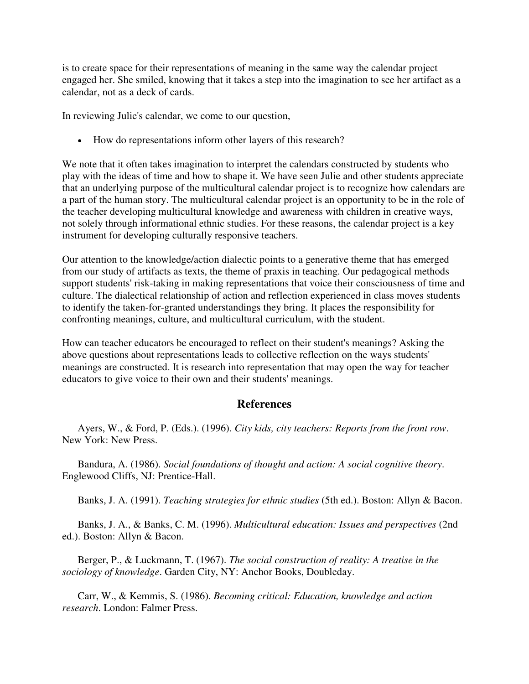is to create space for their representations of meaning in the same way the calendar project engaged her. She smiled, knowing that it takes a step into the imagination to see her artifact as a calendar, not as a deck of cards.

In reviewing Julie's calendar, we come to our question,

• How do representations inform other layers of this research?

We note that it often takes imagination to interpret the calendars constructed by students who play with the ideas of time and how to shape it. We have seen Julie and other students appreciate that an underlying purpose of the multicultural calendar project is to recognize how calendars are a part of the human story. The multicultural calendar project is an opportunity to be in the role of the teacher developing multicultural knowledge and awareness with children in creative ways, not solely through informational ethnic studies. For these reasons, the calendar project is a key instrument for developing culturally responsive teachers.

Our attention to the knowledge/action dialectic points to a generative theme that has emerged from our study of artifacts as texts, the theme of praxis in teaching. Our pedagogical methods support students' risk-taking in making representations that voice their consciousness of time and culture. The dialectical relationship of action and reflection experienced in class moves students to identify the taken-for-granted understandings they bring. It places the responsibility for confronting meanings, culture, and multicultural curriculum, with the student.

How can teacher educators be encouraged to reflect on their student's meanings? Asking the above questions about representations leads to collective reflection on the ways students' meanings are constructed. It is research into representation that may open the way for teacher educators to give voice to their own and their students' meanings.

#### **References**

 Ayers, W., & Ford, P. (Eds.). (1996). *City kids, city teachers: Reports from the front row*. New York: New Press.

 Bandura, A. (1986). *Social foundations of thought and action: A social cognitive theory*. Englewood Cliffs, NJ: Prentice-Hall.

Banks, J. A. (1991). *Teaching strategies for ethnic studies* (5th ed.). Boston: Allyn & Bacon.

 Banks, J. A., & Banks, C. M. (1996). *Multicultural education: Issues and perspectives* (2nd ed.). Boston: Allyn & Bacon.

 Berger, P., & Luckmann, T. (1967). *The social construction of reality: A treatise in the sociology of knowledge*. Garden City, NY: Anchor Books, Doubleday.

 Carr, W., & Kemmis, S. (1986). *Becoming critical: Education, knowledge and action research*. London: Falmer Press.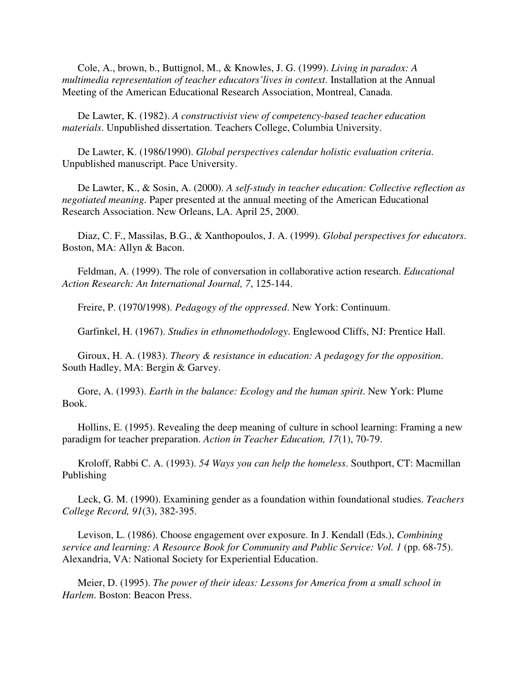Cole, A., brown, b., Buttignol, M., & Knowles, J. G. (1999). *Living in paradox: A multimedia representation of teacher educators'lives in context*. Installation at the Annual Meeting of the American Educational Research Association, Montreal, Canada.

 De Lawter, K. (1982). *A constructivist view of competency-based teacher education materials*. Unpublished dissertation. Teachers College, Columbia University.

 De Lawter, K. (1986/1990). *Global perspectives calendar holistic evaluation criteria*. Unpublished manuscript. Pace University.

 De Lawter, K., & Sosin, A. (2000). *A self-study in teacher education: Collective reflection as negotiated meaning*. Paper presented at the annual meeting of the American Educational Research Association. New Orleans, LA. April 25, 2000.

 Diaz, C. F., Massilas, B.G., & Xanthopoulos, J. A. (1999). *Global perspectives for educators*. Boston, MA: Allyn & Bacon.

 Feldman, A. (1999). The role of conversation in collaborative action research. *Educational Action Research: An International Journal, 7*, 125-144.

Freire, P. (1970/1998). *Pedagogy of the oppressed*. New York: Continuum.

Garfinkel, H. (1967). *Studies in ethnomethodology*. Englewood Cliffs, NJ: Prentice Hall.

 Giroux, H. A. (1983). *Theory & resistance in education: A pedagogy for the opposition*. South Hadley, MA: Bergin & Garvey.

 Gore, A. (1993). *Earth in the balance: Ecology and the human spirit*. New York: Plume Book.

 Hollins, E. (1995). Revealing the deep meaning of culture in school learning: Framing a new paradigm for teacher preparation. *Action in Teacher Education, 17*(1), 70-79.

 Kroloff, Rabbi C. A. (1993). *54 Ways you can help the homeless*. Southport, CT: Macmillan Publishing

 Leck, G. M. (1990). Examining gender as a foundation within foundational studies. *Teachers College Record, 91*(3), 382-395.

 Levison, L. (1986). Choose engagement over exposure. In J. Kendall (Eds.), *Combining service and learning: A Resource Book for Community and Public Service: Vol. 1* (pp. 68-75). Alexandria, VA: National Society for Experiential Education.

 Meier, D. (1995). *The power of their ideas: Lessons for America from a small school in Harlem*. Boston: Beacon Press.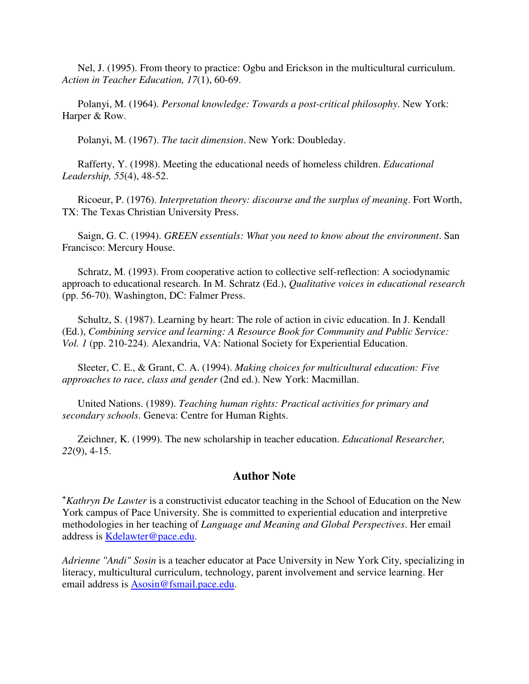Nel, J. (1995). From theory to practice: Ogbu and Erickson in the multicultural curriculum. *Action in Teacher Education, 17*(1), 60-69.

 Polanyi, M. (1964). *Personal knowledge: Towards a post-critical philosophy*. New York: Harper & Row.

Polanyi, M. (1967). *The tacit dimension*. New York: Doubleday.

 Rafferty, Y. (1998). Meeting the educational needs of homeless children. *Educational Leadership, 55*(4), 48-52.

 Ricoeur, P. (1976). *Interpretation theory: discourse and the surplus of meaning*. Fort Worth, TX: The Texas Christian University Press.

 Saign, G. C. (1994). *GREEN essentials: What you need to know about the environment*. San Francisco: Mercury House.

 Schratz, M. (1993). From cooperative action to collective self-reflection: A sociodynamic approach to educational research. In M. Schratz (Ed.), *Qualitative voices in educational research* (pp. 56-70). Washington, DC: Falmer Press.

 Schultz, S. (1987). Learning by heart: The role of action in civic education. In J. Kendall (Ed.), *Combining service and learning: A Resource Book for Community and Public Service: Vol. 1* (pp. 210-224). Alexandria, VA: National Society for Experiential Education.

 Sleeter, C. E., & Grant, C. A. (1994). *Making choices for multicultural education: Five approaches to race, class and gender* (2nd ed.). New York: Macmillan.

 United Nations. (1989). *Teaching human rights: Practical activities for primary and secondary schools*. Geneva: Centre for Human Rights.

 Zeichner, K. (1999). The new scholarship in teacher education. *Educational Researcher, 22*(9), 4-15.

#### **Author Note**

**<sup>+</sup>***Kathryn De Lawter* is a constructivist educator teaching in the School of Education on the New York campus of Pace University. She is committed to experiential education and interpretive methodologies in her teaching of *Language and Meaning and Global Perspectives*. Her email address is Kdelawter@pace.edu.

*Adrienne "Andi" Sosin* is a teacher educator at Pace University in New York City, specializing in literacy, multicultural curriculum, technology, parent involvement and service learning. Her email address is Asosin@fsmail.pace.edu.